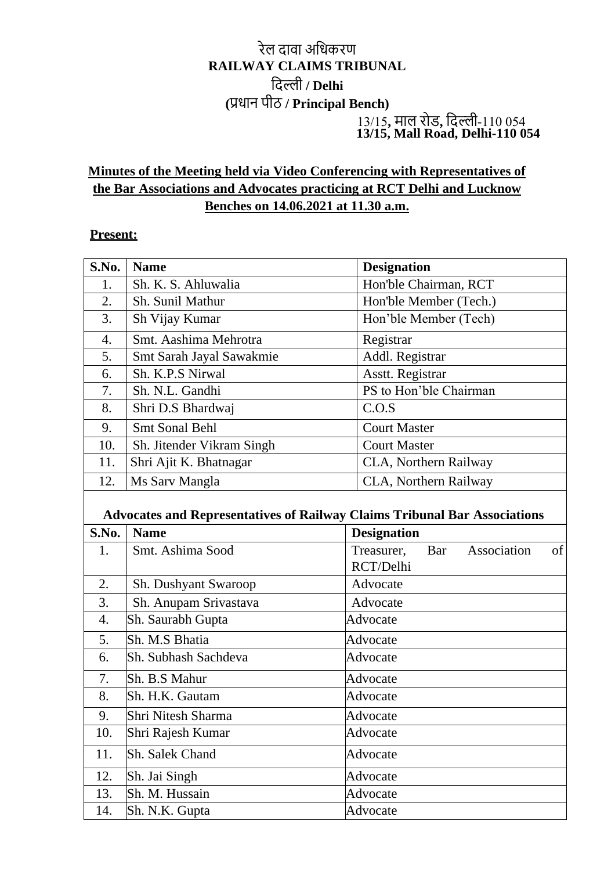## रेल दावा अधिकरण **RAILWAY CLAIMS TRIBUNAL** धदल्ली **/ Delhi (**प्रिान पीठ **/ Principal Bench)** 13/15**,** माल रोड**,** धदल्ली-110 054  **13/15, Mall Road, Delhi-110 054**

## **Minutes of the Meeting held via Video Conferencing with Representatives of the Bar Associations and Advocates practicing at RCT Delhi and Lucknow Benches on 14.06.2021 at 11.30 a.m.**

## **Present:**

| S.No.                                                                                           | <b>Name</b>               | <b>Designation</b>                                  |  |
|-------------------------------------------------------------------------------------------------|---------------------------|-----------------------------------------------------|--|
| 1.                                                                                              | Sh. K. S. Ahluwalia       | Hon'ble Chairman, RCT                               |  |
| 2.                                                                                              | Sh. Sunil Mathur          | Hon'ble Member (Tech.)                              |  |
| 3.                                                                                              | Sh Vijay Kumar            | Hon'ble Member (Tech)                               |  |
| $\overline{4}$ .                                                                                | Smt. Aashima Mehrotra     | Registrar                                           |  |
| 5.                                                                                              | Smt Sarah Jayal Sawakmie  | Addl. Registrar                                     |  |
| 6.                                                                                              | Sh. K.P.S Nirwal          | Asstt. Registrar                                    |  |
| 7.                                                                                              | Sh. N.L. Gandhi           | PS to Hon'ble Chairman                              |  |
| 8.                                                                                              | Shri D.S Bhardwaj         | C.O.S                                               |  |
| 9.                                                                                              | <b>Smt Sonal Behl</b>     | <b>Court Master</b>                                 |  |
| 10.                                                                                             | Sh. Jitender Vikram Singh | <b>Court Master</b>                                 |  |
| 11.                                                                                             | Shri Ajit K. Bhatnagar    | CLA, Northern Railway                               |  |
| 12.                                                                                             | Ms Sarv Mangla            | CLA, Northern Railway                               |  |
| <b>Advocates and Representatives of Railway Claims Tribunal Bar Associations</b><br><b>Name</b> |                           |                                                     |  |
| S.No.                                                                                           |                           | <b>Designation</b>                                  |  |
| 1.                                                                                              | Smt. Ashima Sood          | Association<br>Treasurer,<br>Bar<br>of<br>RCT/Delhi |  |
| 2.                                                                                              | Sh. Dushyant Swaroop      | Advocate                                            |  |
| 3.                                                                                              | Sh. Anupam Srivastava     | Advocate                                            |  |
| 4.                                                                                              | Sh. Saurabh Gupta         | Advocate                                            |  |
| 5.                                                                                              | Sh. M.S Bhatia            | Advocate                                            |  |
| 6.                                                                                              | Sh. Subhash Sachdeva      | Advocate                                            |  |
| 7.                                                                                              | Sh. B.S Mahur             | Advocate                                            |  |
| 8.                                                                                              | Sh. H.K. Gautam           |                                                     |  |
| 9.                                                                                              |                           | Advocate                                            |  |
|                                                                                                 | Shri Nitesh Sharma        | Advocate                                            |  |
| 10.                                                                                             | Shri Rajesh Kumar         | Advocate                                            |  |
| 11.                                                                                             | Sh. Salek Chand           | Advocate                                            |  |
| 12.                                                                                             | Sh. Jai Singh             | Advocate                                            |  |
| 13.                                                                                             | Sh. M. Hussain            | Advocate                                            |  |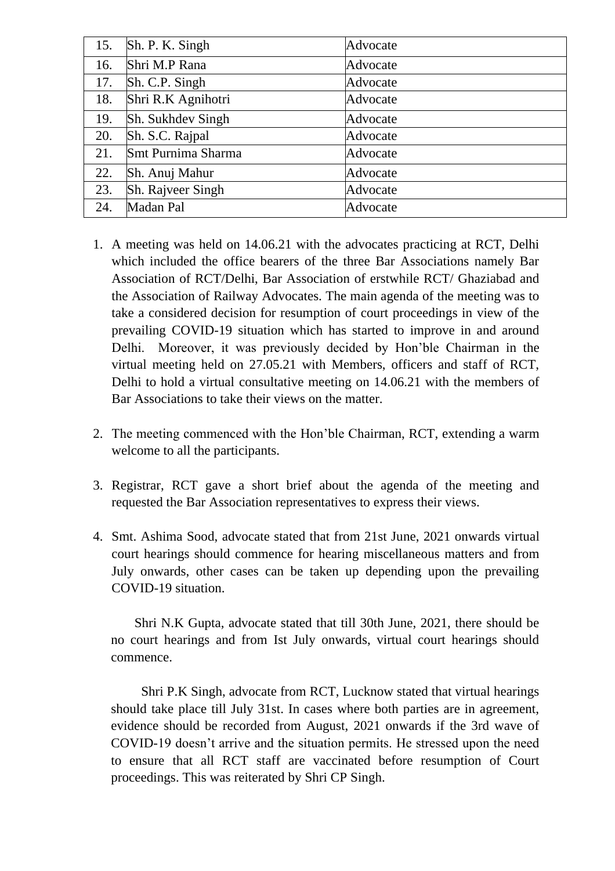| 15. | Sh. P. K. Singh          | Advocate |
|-----|--------------------------|----------|
| 16. | Shri M.P Rana            | Advocate |
| 17. | Sh. C.P. Singh           | Advocate |
| 18. | Shri R.K Agnihotri       | Advocate |
| 19. | <b>Sh. Sukhdey Singh</b> | Advocate |
| 20. | Sh. S.C. Rajpal          | Advocate |
| 21. | Smt Purnima Sharma       | Advocate |
| 22. | Sh. Anuj Mahur           | Advocate |
| 23. | Sh. Rajveer Singh        | Advocate |
| 24. | Madan Pal                | Advocate |
|     |                          |          |

- 1. A meeting was held on 14.06.21 with the advocates practicing at RCT, Delhi which included the office bearers of the three Bar Associations namely Bar Association of RCT/Delhi, Bar Association of erstwhile RCT/ Ghaziabad and the Association of Railway Advocates. The main agenda of the meeting was to take a considered decision for resumption of court proceedings in view of the prevailing COVID-19 situation which has started to improve in and around Delhi. Moreover, it was previously decided by Hon'ble Chairman in the virtual meeting held on 27.05.21 with Members, officers and staff of RCT, Delhi to hold a virtual consultative meeting on 14.06.21 with the members of Bar Associations to take their views on the matter.
- 2. The meeting commenced with the Hon'ble Chairman, RCT, extending a warm welcome to all the participants.
- 3. Registrar, RCT gave a short brief about the agenda of the meeting and requested the Bar Association representatives to express their views.
- 4. Smt. Ashima Sood, advocate stated that from 21st June, 2021 onwards virtual court hearings should commence for hearing miscellaneous matters and from July onwards, other cases can be taken up depending upon the prevailing COVID-19 situation.

 Shri N.K Gupta, advocate stated that till 30th June, 2021, there should be no court hearings and from Ist July onwards, virtual court hearings should commence.

 Shri P.K Singh, advocate from RCT, Lucknow stated that virtual hearings should take place till July 31st. In cases where both parties are in agreement, evidence should be recorded from August, 2021 onwards if the 3rd wave of COVID-19 doesn't arrive and the situation permits. He stressed upon the need to ensure that all RCT staff are vaccinated before resumption of Court proceedings. This was reiterated by Shri CP Singh.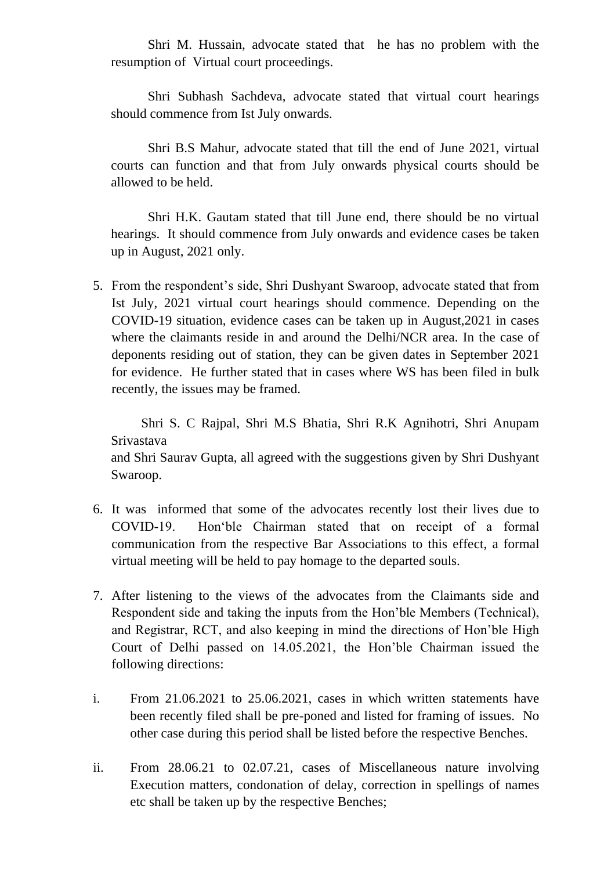Shri M. Hussain, advocate stated that he has no problem with the resumption of Virtual court proceedings.

 Shri Subhash Sachdeva, advocate stated that virtual court hearings should commence from Ist July onwards.

 Shri B.S Mahur, advocate stated that till the end of June 2021, virtual courts can function and that from July onwards physical courts should be allowed to be held.

 Shri H.K. Gautam stated that till June end, there should be no virtual hearings. It should commence from July onwards and evidence cases be taken up in August, 2021 only.

5. From the respondent's side, Shri Dushyant Swaroop, advocate stated that from Ist July, 2021 virtual court hearings should commence. Depending on the COVID-19 situation, evidence cases can be taken up in August,2021 in cases where the claimants reside in and around the Delhi/NCR area. In the case of deponents residing out of station, they can be given dates in September 2021 for evidence. He further stated that in cases where WS has been filed in bulk recently, the issues may be framed.

 Shri S. C Rajpal, Shri M.S Bhatia, Shri R.K Agnihotri, Shri Anupam Srivastava and Shri Saurav Gupta, all agreed with the suggestions given by Shri Dushyant Swaroop.

- 6. It was informed that some of the advocates recently lost their lives due to COVID-19. Hon'ble Chairman stated that on receipt of a formal communication from the respective Bar Associations to this effect, a formal virtual meeting will be held to pay homage to the departed souls.
- 7. After listening to the views of the advocates from the Claimants side and Respondent side and taking the inputs from the Hon'ble Members (Technical), and Registrar, RCT, and also keeping in mind the directions of Hon'ble High Court of Delhi passed on 14.05.2021, the Hon'ble Chairman issued the following directions:
- i. From 21.06.2021 to 25.06.2021, cases in which written statements have been recently filed shall be pre-poned and listed for framing of issues. No other case during this period shall be listed before the respective Benches.
- ii. From 28.06.21 to 02.07.21, cases of Miscellaneous nature involving Execution matters, condonation of delay, correction in spellings of names etc shall be taken up by the respective Benches;